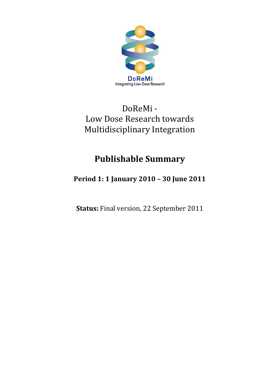

## DoReMi ‐ Low Dose Research towards Multidisciplinary Integration

# **Publishable Summary**

### **Period 1: 1 January 2010 – 30 June 2011**

**Status:** Final version, 22 September 2011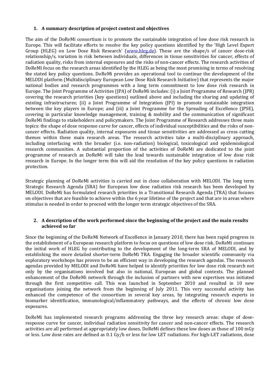#### **1. A summary description of project context and objectives**

The aim of the DoReMi consortium is to promote the sustainable integration of low dose risk research in Europe. This will facilitate efforts to resolve the key policy questions identified by the 'High Level Expert Group (HLEG) on Low Dose Risk Research' (www.hleg.de). These are the shape/s of cancer dose-risk relationship/s, variation in risk between individuals, differences in tissue sensitivities for cancer, effects of radiation quality, risks from internal exposures and the risks of non-cancer effects. The research activities of DoReMi focus on the research areas identified by the HLEG as being the most promising in terms of resolving the stated key policy questions. DoReMi provides an operational tool to continue the development of the MELODI platform (Multidisciplinary European Low Dose Risk Research Initiative) that represents the major national bodies and research programmes with a long term commitment to low dose risk research in Europe. The Joint Programme of Activities (JPA) of DoReMi includes: (i) a Joint Programme of Research (JPR) covering the research priorities (key questions) outlined above and including the sharing and updating of existing infrastructures; (ii) a Joint Programme of Integration (JPI) to promote sustainable integration between the key players in Europe; and (iii) a Joint Programme for the Spreading of Excellence (JPSE), covering in particular knowledge management, training & mobility and the communication of significant DoReMi findings to stakeholders and policymakers. The Joint Programme of Research addresses three main topics: the shape of dose response curve for cancer, effects of individual susceptibilities and the risks of non‐ cancer effects. Radiation quality, internal exposures and tissue sensitivities are addressed as cross cutting themes within these main research areas. The research activities take a multi‐disciplinary approach, including interfacing with the broader (i.e. non‐radiation) biological, toxicological and epidemiological research communities. A substantial proportion of the activities of DoReMi are dedicated to the joint programme of research as DoReMi will take the lead towards sustainable integration of low dose risk research in Europe. In the longer term this will aid the resolution of the key policy questions in radiation protection.

Strategic planning of DoReMi activities is carried out in close collaboration with MELODI. The long term Strategic Research Agenda (SRA) for European low dose radiation risk research has been developed by MELODI. DoReMi has formulated research priorities in a Transitional Research Agenda (TRA) that focuses on objectives that are feasible to achieve within the 6 year lifetime of the project and that are in areas where stimulus is needed in order to proceed with the longer term strategic objectives of the SRA.

#### **2. A description of the work performed since the beginning of the project and the main results achieved so far**

Since the beginning of the DoReMi Network of Excellence in January 2010, there has been rapid progress in the establishment of a European research platform to focus on questions of low dose risk. DoReMi continues the initial work of HLEG by contributing to the development of the long-term SRA of MELODI, and by establishing the more detailed shorter-term DoReMi TRA. Engaging the broader scientific community via exploratory workshops has proven to be an efficient way in developing the research agendas. The research agendas provided by MELODI and DoReMi have helped to identify priorities for low dose risk research not only by the organisations involved but also in national, European and global contexts. The planned enhancement of the DoReMi network through the inclusion of partners with new expertises was initiated through the first competitive call. This was launched in September 2010 and resulted in 10 new organisations joining the network from the beginning of July 2011. This very successful activity has enhanced the competence of the consortium in several key areas, by integrating research experts in biomarker identification, immunological/inflammatory pathways, and the effects of chronic low dose exposures.

DoReMi has implemented research programs addressing the three key research areas: shape of doseresponse curve for cancer, individual radiation sensitivity for cancer and non-cancer effects. The research activities are all performed at appropriately low doses. DoReMi defines these low doses as those of 100 mGy or less. Low dose rates are defined as 0.1 Gy/h or less for low LET radiations. For high‐LET radiations, dose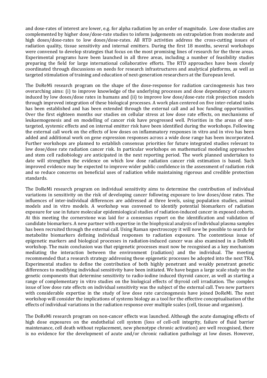and dose‐rates of interest are lower, e.g. for alpha radiation by an order of magnitude. Low dose studies are complemented by higher dose/dose-rate studies to inform judgements on extrapolation from moderate and high doses/dose-rates to low doses/dose-rates. All RTD activities address the cross-cutting issues of radiation quality, tissue sensitivity and internal emitters. During the first 18 months, several workshops were convened to develop strategies that focus on the most promising lines of research for the three areas. Experimental programs have been launched in all three areas, including a number of feasibility studies preparing the field for large international collaborative efforts. The RTD approaches have been closely coordinated through discussions on needs for research infrastructures and analytical platforms, as well as targeted stimulation of training and education of next-generation researchers at the European level.

The DoReMi research program on the shape of the dose-response for radiation carcinogenesis has two overarching aims: (i) to improve knowledge of the underlying processes and dose dependency of cancers induced by low doses/dose rates in humans and (ii) to improve low dose/dose-rate risk projection models through improved integration of these biological processes. A work plan centered on five inter‐related tasks has been established and has been extended through the external call and ad hoc funding opportunities. Over the first eighteen months our studies on cellular stress at low dose rate effects, on mechanisms of leukaemogenesis and on modelling of cancer risk have progressed well. Priorities in the areas of nontargeted, systemic effects and on internal emitter risk have been identified during the workshops. Following the external call work on the effects of low doses on inflammatory responses in vitro and in vivo has been added and additional work on gene expression responses across a wide dose range has been incorporated. Further workshops are planned to establish consensus priorities for future integrated studies relevant to low dose/dose rate radiation cancer risk. In particular workshops on mathematical modeling approaches and stem cell radiobiology are anticipated in the next reporting period. The work planned undertaken to date will strengthen the evidence on which low dose radiation cancer risk estimation is based. Such improved evidence may be expected to improve wider public confidence in the assessment of radiation risk and so reduce concerns on beneficial uses of radiation while maintaining rigorous and credible protection standards.

The DoReMi research program on individual sensitivity aims to determine the contribution of individual variations in sensitivity on the risk of developing cancer following exposure to low doses/dose rates. The influences of inter-individual differences are addressed at three levels, using population studies, animal models and in vitro models. A workshop was convened to identify potential biomarkers of radiation exposure for use in future molecular epidemiological studies of radiation-induced cancer in exposed cohorts. At this meeting the cornerstone was laid for a consensus report on the identification and validation of candidate biomarkers. A new partner with expertise in the biophysical analysis of individual plasma samples has been recruited through the external call. Using Raman spectroscopy it will now be possible to search for metabolite biomarkers defining individual responses to radiation exposure. The contentious issue of epigenetic markers and biological processes in radiation‐induced cancer was also examined in a DoReMi workshop. The main conclusion was that epigenetic processes must now be recognised as a key mechanism mediating the interaction between the environment (radiation) and the individual. The meeting recommended that a research strategy addressing these epigenetic processes be adopted into the next TRA. Experimental studies to define the contribution of both highly penetrant and weakly penetrant genetic differences to modifying individual sensitivity have been initiated. We have begun a large scale study on the genetic components that determine sensitivity to radio‐iodine induced thyroid cancer, as well as starting a range of complementary in vitro studies on the biological effects of thyroid cell irradiation. The complex issue of low dose rate effects on individual sensitivity was the subject of the external call. Two new partners with considerable expertise in the study of low dose rate carcinogenesis have joined DoReMi. The next workshop will consider the implications of systems biology as a tool for the effective conceptualisation of the effects of individual variations in the radiation response over multiple scales (cell, tissue and organism).

The DoReMi research program on non-cancer effects was launched. Although the acute damaging effects of high dose exposures on the endothelial cell system (loss of cell-cell integrity, failure of fluid barrier maintenance, cell death without replacement, new phenotype chronic activation) are well recognised, there is no evidence for the development of acute and/or chronic radiation pathology at low doses. However,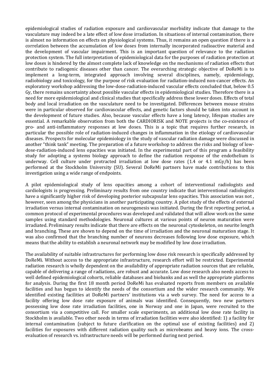epidemiological studies of radiation exposure and cardiovascular morbidity indicate that damage to the vasculature may indeed be a late effect of low dose irradiation. In situations of internal contamination, there is almost no information on effects on physiological systems. Thus, it remains an open question if there is a correlation between the accumulation of low doses from internally incorporated radioactive material and the development of vascular impairment. This is an important question of relevance to the radiation protection system. The full interpretation of epidemiological data for the purposes of radiation protection at low doses is hindered by the almost complete lack of knowledge on the mechanisms of radiation effects that contribute to radiogenic diseases other than cancer. The overarching strategic objective of DoReMi is to implement a long-term, integrated approach involving several disciplines, namely, epidemiology, radiobiology and toxicology, for the purpose of risk evaluation for radiation-induced non-cancer effects. An exploratory workshop addressing the low-dose-radiation-induced vascular effects concluded that, below 0.5 Gy, there remains uncertainty about possible vascular effects in epidemiological studies. Therefore there is a need for more epidemiological and clinical studies that specifically address these lower doses. Effects of total body and local irradiation on the vasculature need to be investigated. Differences between mouse strains were in particular observed for cardiovascular effects, and genetic factors should be taken into account in the development of future studies. Also, because vascular effects have a long latency, lifespan studies are essential. A remarkable observation from both the CARDIORISK and NOTE projects is the co-existence of pro‐ and anti‐inflammatory responses at low doses. This is a topic that requires further research, in particular the possible role of radiation-induced changes in inflammation in the etiology of cardiovascular diseases. Prospects for molecular epidemiology in the study of vascular radiation damage were discussed in another "think tank" meeting. The preparation of a future workshop to address the risks and biology of low‐ dose-radiation-induced lens opacities was initiated. In the experimental part of this program a feasibility study for adopting a systems biology approach to define the radiation response of the endothelium is underway. Cell culture under protracted irradiation at low dose rates (1.4 or 4.1 mGy/h) has been performed at the Stockholm University (SU). Several DoReMi partners have made contributions to this investigation using a wide range of endpoints.

A pilot epidemiological study of lens opacities among a cohort of interventional radiologists and cardiologists is progressing. Preliminary results from one country indicate that interventional radiologists have a significantly higher risk of developing posterior subcapsular lens opacities. This association was not , however, seen among the physicians in another participating country. A pilot study of the effects of external irradiation versus internal contamination on neurogenesis was initiated. During the first reporting period, a common protocol of experimental procedures was developed and validated that will allow work on the same samples using standard methodologies. Neuronal cultures at various points of neuron maturation were irradiated. Preliminary results indicate that there are effects on the neuronal cytoskeleton, on neurite length and branching. These are shown to depend on the time of irradiation and the neuronal maturation stage. It was also confirmed that the branching number of neurons decreases following low dose exposure, which means that the ability to establish a neuronal network may be modified by low dose irradiation.

The availability of suitable infrastructures for performing low dose risk research is specifically addressed by DoReMi. Without access to the appropriate infrastructure, research effort will be restricted. Experimental radiation research is wholly dependent on the availability of appropriate radiation sources that are reliable, capable of delivering a range of radiations, are robust and accurate. Low dose research also needs access to well defined epidemiological cohorts, reliable databases and biobanks and as well the appropriate platforms for analysis. During the first 18 month period DoReMi has evaluated reports from members on available facilities and has begun to identify the needs of the consortium and the wider research community. We identified existing facilities at DoReMi partners' institutions via a web survey. The need for access to a facility offering low dose rate exposure of animals was identified. Consequently, two new partners possessing low dose rate irradiation facilities, one in Norway and one in Japan, were recruited to the consortium via a competitive call. For smaller scale experiments, an additional low dose rate facility in Stockholm is available. Two other needs in terms of irradiation facilities were also identified: 1) a facility for internal contamination (subject to future clarification on the optimal use of existing facilities) and 2) facilities for exposures with different radiation quality such as microbeams and heavy ions. The crossevaluation of research vs. infrastructure needs will be performed during next period.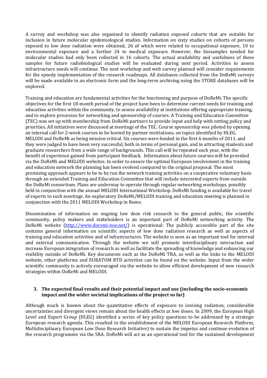A survey and workshop was also organised to identify radiation exposed cohorts that are suitable for inclusion in future molecular epidemiological studies. Information on sixty studies on cohorts of persons exposed to low dose radiation were obtained, 26 of which were related to occupational exposure, 10 to environmental exposure and a further 24 to medical exposure. However, the biosamples needed for molecular studies had only been collected in 16 cohorts. The actual availability and usefulness of these samples for future radiobiological studies will be evaluated during next period. Activities to assess infrastructure needs will continue. The next workshop and web survey planned will consider requirements for the speedy implementation of the research roadmaps. All databases collected from the DoReMi surveys will be made available in an electronic form and the long-term archiving using the STORE databases will be explored.

Training and education are fundamental activities for the functioning and purpose of DoReMi. The specific objectives for the first 18‐month period of the project have been to determine current needs for training and education activities within the community, to assess availability at institutions offering appropriate training, and to explore processes for networking and sponsorship of courses. A Training and Education Committee (TEC) was set up with membership from DoReMi partners to provide input and help with setting policy and priorities. All initiatives were discussed at meetings of the TEC. Course sponsorship was piloted by opening an internal call for 2‐week courses to be hosted by partner institutions, on topics identified by HLEG, MELODI and DoReMi as being mission critical. Six courses were funded in the first 6 months of 2011, and they were judged to have been very successful, both in terms of personal gain, and in attracting students and graduate researchers from a wide range of backgrounds. This call will be repeated each year, with the benefit of experience gained from participant feedback. Information about future courses will be provided via the DoReMi and MELODI websites. In order to ensure the optimal European involvement in the training and education network the planning has been evolved compared to the original proposal. The most promising approach appears to be to be run the network training activities on a cooperative voluntary basis through an extended Training and Education Committee that will include interested experts from outside the DoReMi consortium. Plans are underway to operate through regular networking workshops, possibly held in conjunction with the annual MELODI International Workshop. DoReMi funding is available for travel of experts to such meetings. An exploratory DoReMi/MELODI training and education meeting is planned in conjunction with the 2011 MELODI Workshop in Rome.

Dissemination of information on ongoing low dose risk research to the general public, the scientific community, policy makers and stakeholders is an important part of DoReMi networking activity. The DoReMi website (http://www.doremi-noe.net/) is operational: The publicly accessible part of the site contains general information on scientific aspects of low dose radiation research as well as aspects of training and education activities and of infrastructures. The website is seen as an important tool for internal and external communication. Through the website we will promote interdisciplinary interaction and increase European integration of research as well as facilitate the spreading of knowledge and enhancing our visibility outside of DoReMi. Key documents such as the DoReMi TRA, as well as the links to the MELODI website, other platforms and EURATOM RTD activities can be found on the website. Input from the wider scientific community is actively encouraged via the website to allow efficient development of new research strategies within DoReMi and MELODI.

#### **3. The expected final results and their potential impact and use (including the socioeconomic impact and the wider societal implications of the project so far)**

Although much is known about the quantitative effects of exposure to ionising radiation, considerable uncertainties and divergent views remain about the health effects at low doses. In 2009, the European High Level and Expert Group (HLEG) identified a series of key policy questions to be addressed by a strategic European research agenda. This resulted in the establishment of the MELODI European Research Platform, Multidisciplinary European Low Dose Research Initiative) to sustain the impetus and continue evolution of the research programme via the SRA. DoReMi will act as an operational tool for the sustained development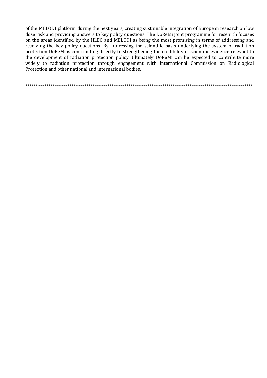of the MELODI platform during the next years, creating sustainable integration of European research on low dose risk and providing answers to key policy questions. The DoReMi joint programme for research focuses on the areas identified by the HLEG and MELODI as being the most promising in terms of addressing and resolving the key policy questions. By addressing the scientific basis underlying the system of radiation protection DoReMi is contributing directly to strengthening the credibility of scientific evidence relevant to the development of radiation protection policy. Ultimately DoReMi can be expected to contribute more widely to radiation protection through engagement with International Commission on Radiological Protection and other national and international bodies.

\*\*\*\*\*\*\*\*\*\*\*\*\*\*\*\*\*\*\*\*\*\*\*\*\*\*\*\*\*\*\*\*\*\*\*\*\*\*\*\*\*\*\*\*\*\*\*\*\*\*\*\*\*\*\*\*\*\*\*\*\*\*\*\*\*\*\*\*\*\*\*\*\*\*\*\*\*\*\*\*\*\*\*\*\*\*\*\*\*\*\*\*\*\*\*\*\*\*\*\*\*\*\*\*\*\*\*\*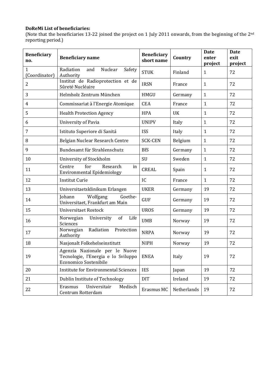### **DoReMi List of beneficiaries:**

(Note that the beneficiaries 13‐22 joined the project on 1 July 2011 onwards, from the beginning of the 2nd reporting period.)

| <b>Beneficiary</b><br>no.     | <b>Beneficiary name</b>                                                                               | <b>Beneficiary</b><br>short name | Country     | <b>Date</b><br>enter<br>project | <b>Date</b><br>exit<br>project |
|-------------------------------|-------------------------------------------------------------------------------------------------------|----------------------------------|-------------|---------------------------------|--------------------------------|
| $\mathbf{1}$<br>(Coordinator) | Radiation<br>Nuclear<br>Safety<br>and<br>Authority                                                    | <b>STUK</b>                      | Finland     | $\mathbf{1}$                    | 72                             |
| $\overline{2}$                | Institut de Radioprotection et de<br>Sûreté Nucléaire                                                 | <b>IRSN</b>                      | France      | $\mathbf{1}$                    | 72                             |
| 3                             | Helmholz Zentrum München                                                                              | <b>HMGU</b>                      | Germany     | $\mathbf{1}$                    | 72                             |
| 4                             | Commissariat à l'Energie Atomique                                                                     | <b>CEA</b>                       | France      | $\mathbf{1}$                    | 72                             |
| 5                             | <b>Health Protection Agency</b>                                                                       | <b>HPA</b>                       | UK          | $\mathbf{1}$                    | 72                             |
| 6                             | University of Pavia                                                                                   | <b>UNIPV</b>                     | Italy       | $\mathbf{1}$                    | 72                             |
| 7                             | Istituto Superiore di Sanitá                                                                          | <b>ISS</b>                       | Italy       | $\mathbf{1}$                    | 72                             |
| 8                             | Belgian Nuclear Research Centre                                                                       | <b>SCK-CEN</b>                   | Belgium     | $\mathbf{1}$                    | 72                             |
| 9                             | Bundesamt für Strahlenschutz                                                                          | <b>BfS</b>                       | Germany     | $\mathbf{1}$                    | 72                             |
| 10                            | University of Stockholm                                                                               | SU                               | Sweden      | $\mathbf{1}$                    | 72                             |
| 11                            | for<br>Research<br>Centre<br>in<br>Environmental Epidemiology                                         | <b>CREAL</b>                     | Spain       | $\mathbf{1}$                    | 72                             |
| 12                            | <b>Institut Curie</b>                                                                                 | IC                               | France      | $\mathbf{1}$                    | 72                             |
| 13                            | Universitaetsklinikum Erlangen                                                                        | <b>UKER</b>                      | Germany     | 19                              | 72                             |
| 14                            | Wolfgang<br>Goethe-<br>Johann<br>Universitaet, Frankfurt am Main                                      | <b>GUF</b>                       | Germany     | 19                              | 72                             |
| 15                            | <b>Universitaet Rostock</b>                                                                           | <b>UROS</b>                      | Germany     | 19                              | 72                             |
| 16                            | of<br>Life<br>Norwegian<br>University<br>Sciences                                                     | <b>UMB</b>                       | Norway      | 19                              | 72                             |
| 17                            | Radiation Protection<br>Norwegian<br>Authority                                                        | <b>NRPA</b>                      | Norway      | 19                              | 72                             |
| 18                            | Nasjonalt Folkehelseinstitutt                                                                         | <b>NIPH</b>                      | Norway      | 19                              | 72                             |
| 19                            | Agenzia Nazionale per le Nuove<br>Tecnologie, l'Energia e lo Sviluppo<br><b>Economico Sostenibile</b> | <b>ENEA</b>                      | Italy       | 19                              | 72                             |
| 20                            | <b>Institute for Environmental Sciences</b>                                                           | <b>IES</b>                       | Japan       | 19                              | 72                             |
| 21                            | Dublin Institute of Technology                                                                        | <b>DIT</b>                       | Ireland     | 19                              | 72                             |
| 22                            | Universitair<br>Medisch<br>Erasmus<br>Centrum Rotterdam                                               | Erasmus MC                       | Netherlands | 19                              | 72                             |